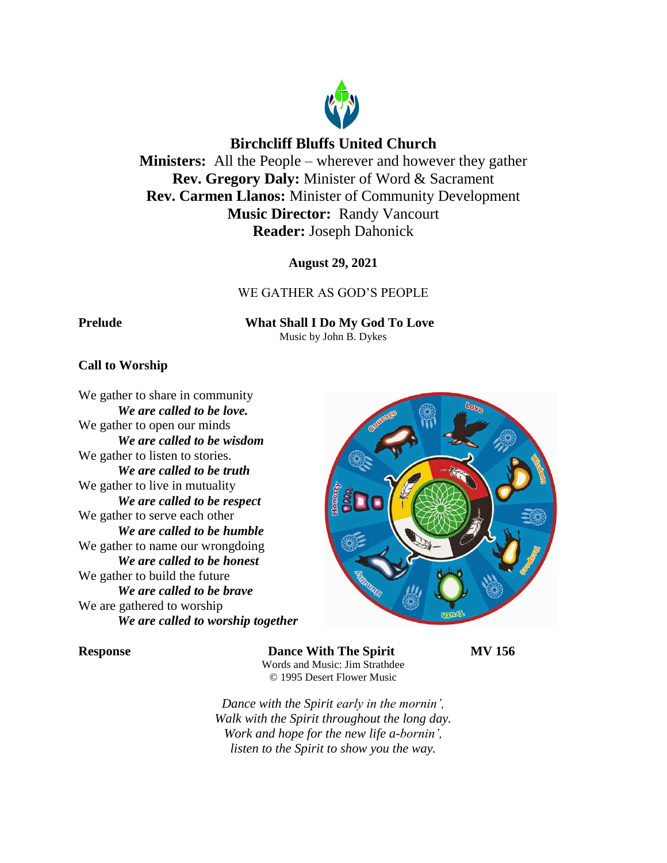

# **Birchcliff Bluffs United Church**

**Ministers:** All the People – wherever and however they gather **Rev. Gregory Daly:** Minister of Word & Sacrament **Rev. Carmen Llanos:** Minister of Community Development **Music Director:** Randy Vancourt **Reader:** Joseph Dahonick

**August 29, 2021**

## WE GATHER AS GOD'S PEOPLE

**Prelude What Shall I Do My God To Love** Music by John B. Dykes

#### **Call to Worship**

We gather to share in community *We are called to be love.* We gather to open our minds *We are called to be wisdom* We gather to listen to stories. *We are called to be truth* We gather to live in mutuality *We are called to be respect* We gather to serve each other *We are called to be humble* We gather to name our wrongdoing *We are called to be honest* We gather to build the future *We are called to be brave* We are gathered to worship *We are called to worship together*



**Response Dance With The Spirit MV 156** Words and Music: Jim Strathdee © 1995 Desert Flower Music

*Dance with the Spirit early in the mornin', Walk with the Spirit throughout the long day. Work and hope for the new life a-bornin', listen to the Spirit to show you the way.*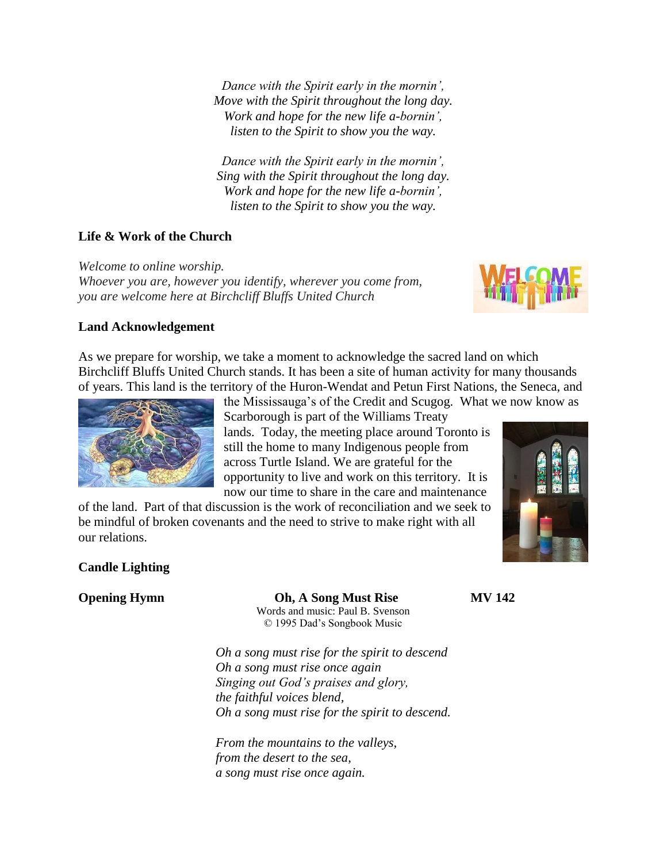*Dance with the Spirit early in the mornin', Move with the Spirit throughout the long day. Work and hope for the new life a-bornin', listen to the Spirit to show you the way.*

*Dance with the Spirit early in the mornin', Sing with the Spirit throughout the long day. Work and hope for the new life a-bornin', listen to the Spirit to show you the way.*

## **Life & Work of the Church**

*Welcome to online worship. Whoever you are, however you identify, wherever you come from, you are welcome here at Birchcliff Bluffs United Church*



#### **Land Acknowledgement**

As we prepare for worship, we take a moment to acknowledge the sacred land on which Birchcliff Bluffs United Church stands. It has been a site of human activity for many thousands of years. This land is the territory of the Huron-Wendat and Petun First Nations, the Seneca, and



the Mississauga's of the Credit and Scugog. What we now know as Scarborough is part of the Williams Treaty lands. Today, the meeting place around Toronto is still the home to many Indigenous people from across Turtle Island. We are grateful for the opportunity to live and work on this territory. It is now our time to share in the care and maintenance

of the land. Part of that discussion is the work of reconciliation and we seek to be mindful of broken covenants and the need to strive to make right with all our relations.

## **Candle Lighting**

**Opening Hymn Oh, A Song Must Rise MV 142** Words and music: Paul B. Svenson © 1995 Dad's Songbook Music

> *Oh a song must rise for the spirit to descend Oh a song must rise once again Singing out God's praises and glory, the faithful voices blend, Oh a song must rise for the spirit to descend.*

*From the mountains to the valleys, from the desert to the sea, a song must rise once again.*

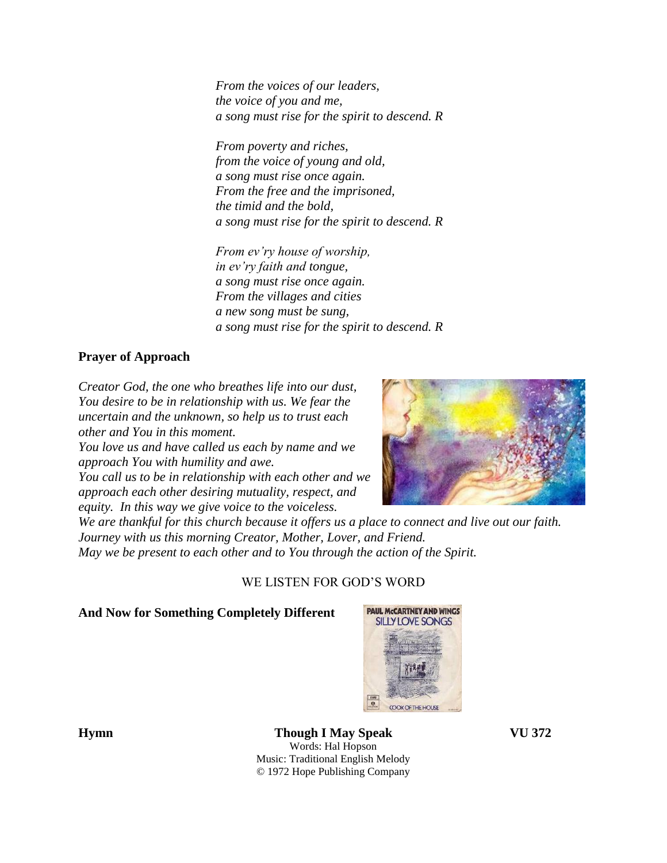*From the voices of our leaders, the voice of you and me, a song must rise for the spirit to descend. R*

*From poverty and riches, from the voice of young and old, a song must rise once again. From the free and the imprisoned, the timid and the bold, a song must rise for the spirit to descend. R*

*From ev'ry house of worship, in ev'ry faith and tongue, a song must rise once again. From the villages and cities a new song must be sung, a song must rise for the spirit to descend. R*

## **Prayer of Approach**

*Creator God, the one who breathes life into our dust, You desire to be in relationship with us. We fear the uncertain and the unknown, so help us to trust each other and You in this moment.*

*You love us and have called us each by name and we approach You with humility and awe.*

*You call us to be in relationship with each other and we approach each other desiring mutuality, respect, and equity. In this way we give voice to the voiceless.*



*We are thankful for this church because it offers us a place to connect and live out our faith. Journey with us this morning Creator, Mother, Lover, and Friend. May we be present to each other and to You through the action of the Spirit.*

## WE LISTEN FOR GOD'S WORD

#### **And Now for Something Completely Different**



**Hymn Though I May Speak VU 372** Words: Hal Hopson Music: Traditional English Melody © 1972 Hope Publishing Company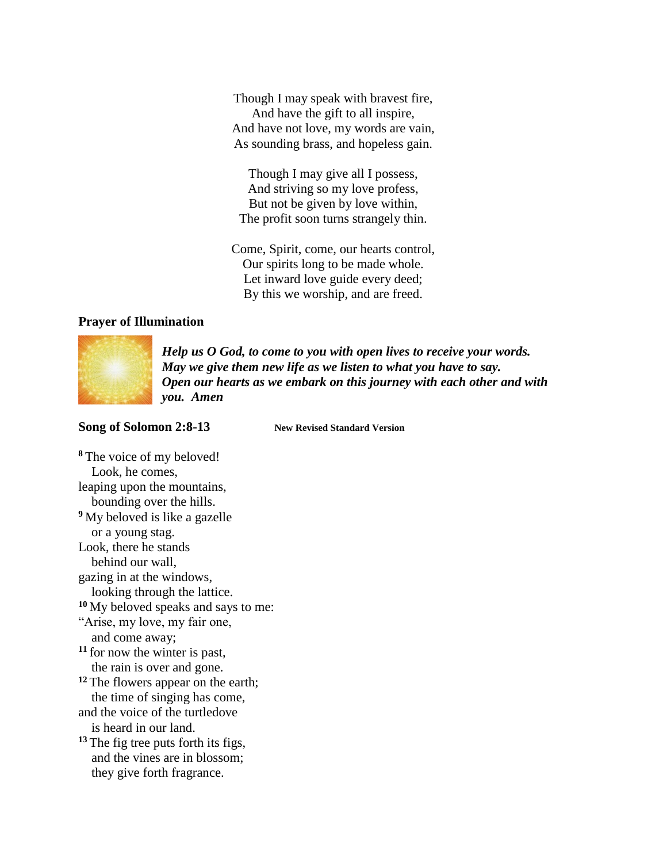Though I may speak with bravest fire, And have the gift to all inspire, And have not love, my words are vain, As sounding brass, and hopeless gain.

Though I may give all I possess, And striving so my love profess, But not be given by love within, The profit soon turns strangely thin.

Come, Spirit, come, our hearts control, Our spirits long to be made whole. Let inward love guide every deed; By this we worship, and are freed.

#### **Prayer of Illumination**



*Help us O God, to come to you with open lives to receive your words. May we give them new life as we listen to what you have to say. Open our hearts as we embark on this journey with each other and with you. Amen*

#### **Song of Solomon 2:8-13 New Revised Standard Version**

**<sup>8</sup>** The voice of my beloved! Look, he comes, leaping upon the mountains, bounding over the hills. **<sup>9</sup>** My beloved is like a gazelle or a young stag. Look, there he stands behind our wall, gazing in at the windows, looking through the lattice. **<sup>10</sup>** My beloved speaks and says to me: "Arise, my love, my fair one, and come away; **<sup>11</sup>** for now the winter is past, the rain is over and gone. **<sup>12</sup>** The flowers appear on the earth; the time of singing has come, and the voice of the turtledove is heard in our land. **<sup>13</sup>** The fig tree puts forth its figs, and the vines are in blossom; they give forth fragrance.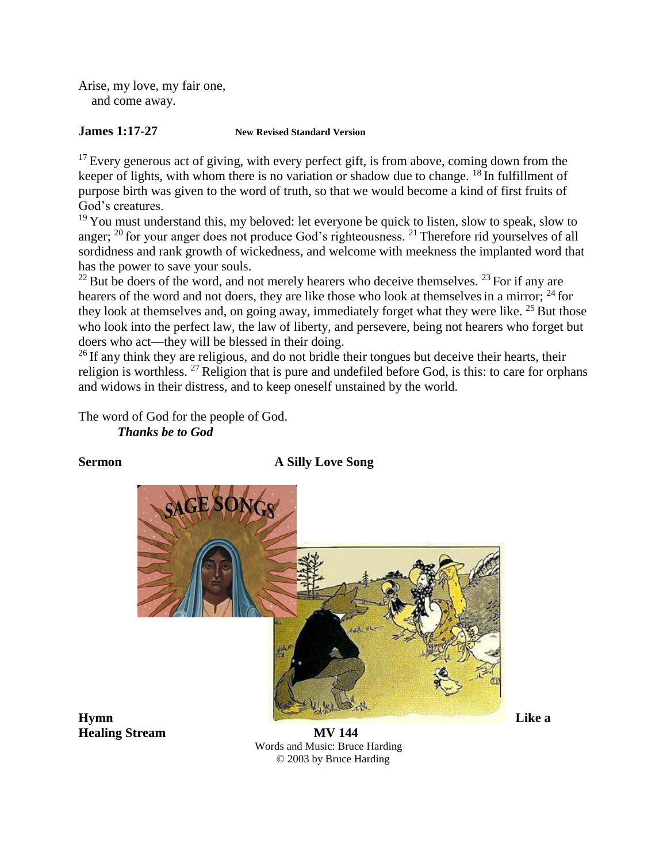Arise, my love, my fair one, and come away.

#### **James 1:17-27 New Revised Standard Version**

 $17$  Every generous act of giving, with every perfect gift, is from above, coming down from the keeper of lights, with whom there is no variation or shadow due to change.  $^{18}$  In fulfillment of purpose birth was given to the word of truth, so that we would become a kind of first fruits of God's creatures.

<sup>19</sup> You must understand this, my beloved: let everyone be quick to listen, slow to speak, slow to anger; <sup>20</sup> for your anger does not produce God's righteousness. <sup>21</sup> Therefore rid yourselves of all sordidness and rank growth of wickedness, and welcome with meekness the implanted word that has the power to save your souls.

 $^{22}$  But be doers of the word, and not merely hearers who deceive themselves.  $^{23}$  For if any are hearers of the word and not doers, they are like those who look at themselves in a mirror; <sup>24</sup> for they look at themselves and, on going away, immediately forget what they were like. <sup>25</sup> But those who look into the perfect law, the law of liberty, and persevere, being not hearers who forget but doers who act—they will be blessed in their doing.

 $26$  If any think they are religious, and do not bridle their tongues but deceive their hearts, their religion is worthless.  $27$  Religion that is pure and undefiled before God, is this: to care for orphans and widows in their distress, and to keep oneself unstained by the world.

The word of God for the people of God. *Thanks be to God*

**Sermon A Silly Love Song**



**Healing Stream MV 144** Words and Music: Bruce Harding © 2003 by Bruce Harding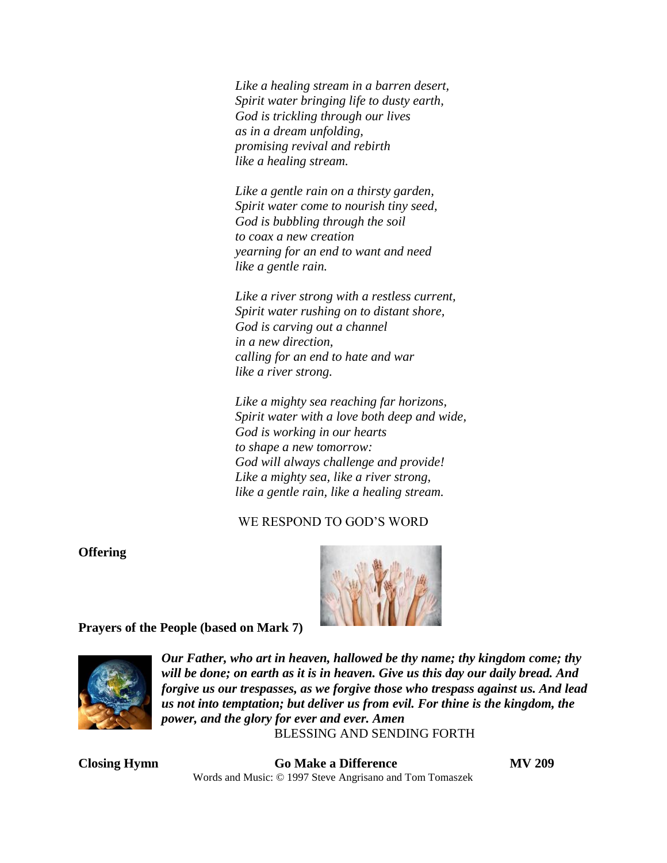*Like a healing stream in a barren desert, Spirit water bringing life to dusty earth, God is trickling through our lives as in a dream unfolding, promising revival and rebirth like a healing stream.*

*Like a gentle rain on a thirsty garden, Spirit water come to nourish tiny seed, God is bubbling through the soil to coax a new creation yearning for an end to want and need like a gentle rain.*

*Like a river strong with a restless current, Spirit water rushing on to distant shore, God is carving out a channel in a new direction, calling for an end to hate and war like a river strong.*

*Like a mighty sea reaching far horizons, Spirit water with a love both deep and wide, God is working in our hearts to shape a new tomorrow: God will always challenge and provide! Like a mighty sea, like a river strong, like a gentle rain, like a healing stream.*

## WE RESPOND TO GOD'S WORD

#### **Offering**



**Prayers of the People (based on Mark 7)**



*Our Father, who art in heaven, hallowed be thy name; thy kingdom come; thy will be done; on earth as it is in heaven. Give us this day our daily bread. And forgive us our trespasses, as we forgive those who trespass against us. And lead us not into temptation; but deliver us from evil. For thine is the kingdom, the power, and the glory for ever and ever. Amen* BLESSING AND SENDING FORTH

**Closing Hymn Go Make a Difference MV 209** Words and Music: © 1997 Steve Angrisano and Tom Tomaszek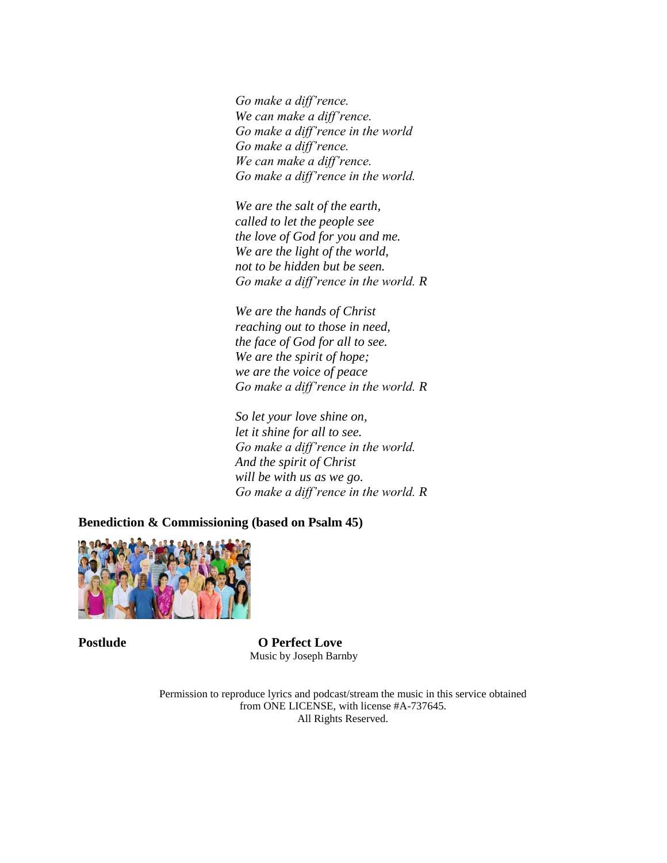*Go make a diff'rence. We can make a diff'rence. Go make a diff'rence in the world Go make a diff'rence. We can make a diff'rence. Go make a diff'rence in the world.* 

*We are the salt of the earth, called to let the people see the love of God for you and me. We are the light of the world, not to be hidden but be seen. Go make a diff'rence in the world. R*

*We are the hands of Christ reaching out to those in need, the face of God for all to see. We are the spirit of hope; we are the voice of peace Go make a diff'rence in the world. R*

*So let your love shine on, let it shine for all to see. Go make a diff'rence in the world. And the spirit of Christ will be with us as we go. Go make a diff'rence in the world. R*

**Benediction & Commissioning (based on Psalm 45)**



Postlude **O Perfect Love** Music by Joseph Barnby

> Permission to reproduce lyrics and podcast/stream the music in this service obtained from ONE LICENSE, with license #A-737645. All Rights Reserved.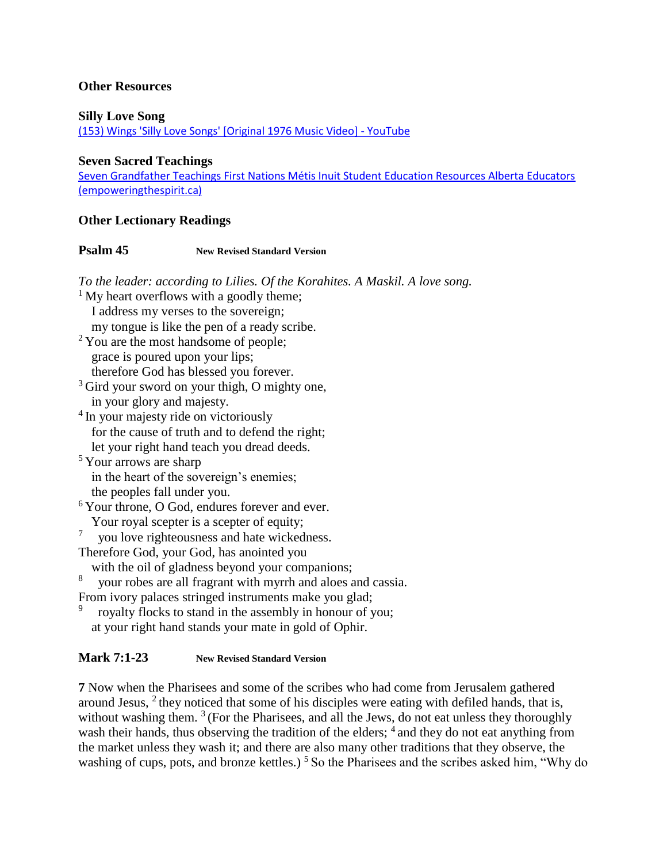#### **Other Resources**

#### **Silly Love Song**

[\(153\) Wings 'Silly Love Songs' \[Original 1976 Music Video\] -](https://www.youtube.com/watch?v=ap87QgZKTNw) YouTube

#### **Seven Sacred Teachings**

[Seven Grandfather Teachings First Nations Métis Inuit Student Education Resources Alberta Educators](https://empoweringthespirit.ca/cultures-of-belonging/seven-grandfathers-teachings/)  [\(empoweringthespirit.ca\)](https://empoweringthespirit.ca/cultures-of-belonging/seven-grandfathers-teachings/)

#### **Other Lectionary Readings**

#### **Psalm 45 New Revised Standard Version**

*To the leader: according to Lilies. Of the Korahites. A Maskil. A love song.*  $<sup>1</sup>$  My heart overflows with a goodly theme;</sup> I address my verses to the sovereign; my tongue is like the pen of a ready scribe.  $2$  You are the most handsome of people; grace is poured upon your lips; therefore God has blessed you forever. <sup>3</sup> Gird your sword on your thigh, O mighty one, in your glory and majesty. <sup>4</sup> In your majesty ride on victoriously for the cause of truth and to defend the right; let your right hand teach you dread deeds. <sup>5</sup> Your arrows are sharp in the heart of the sovereign's enemies; the peoples fall under you. <sup>6</sup> Your throne, O God, endures forever and ever. Your royal scepter is a scepter of equity; 7 you love righteousness and hate wickedness. Therefore God, your God, has anointed you with the oil of gladness beyond your companions; 8 your robes are all fragrant with myrrh and aloes and cassia. From ivory palaces stringed instruments make you glad; 9 royalty flocks to stand in the assembly in honour of you; at your right hand stands your mate in gold of Ophir.

#### **Mark 7:1-23 New Revised Standard Version**

**7** Now when the Pharisees and some of the scribes who had come from Jerusalem gathered around Jesus,  $2$  they noticed that some of his disciples were eating with defiled hands, that is, without washing them.  $3$  (For the Pharisees, and all the Jews, do not eat unless they thoroughly wash their hands, thus observing the tradition of the elders; <sup>4</sup> and they do not eat anything from the market unless they wash it; and there are also many other traditions that they observe, the washing of cups, pots, and bronze kettles.)<sup>5</sup> So the Pharisees and the scribes asked him, "Why do